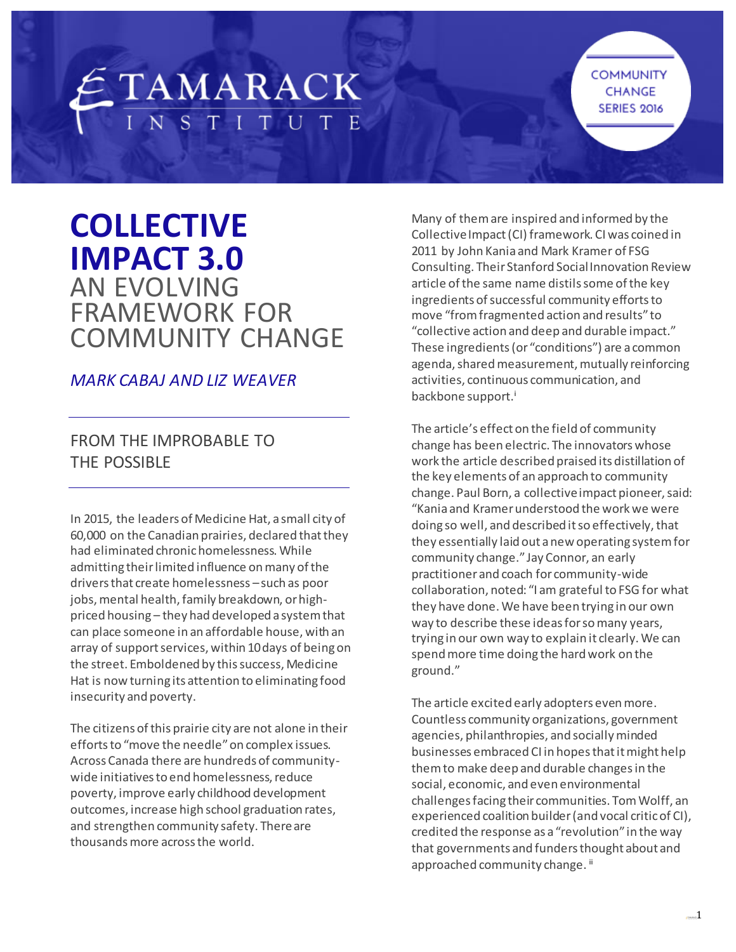# ETAMARACK

**COMMUNITY** CHANGE **SERIES 2016** 

# **COLLECTIVE IMPACT 3.0** AN EVOLVING FRAMEWORK FOR COMMUNITY CHANGE

# *MARK CABAJ AND LIZ WEAVER*

# FROM THE IMPROBABLE TO THE POSSIBLE

In 2015, the leaders of Medicine Hat, a small city of 60,000 on the Canadian prairies, declared that they had eliminated chronic homelessness. While admitting their limited influence on many of the drivers that create homelessness –such as poor jobs, mental health, family breakdown, or highpriced housing – they had developed a system that can place someone in an affordable house, with an array of support services, within 10 days of being on the street. Emboldened by this success, Medicine Hat is now turning its attention to eliminating food insecurity and poverty.

The citizens of this prairie city are not alone in their efforts to "move the needle" on complex issues. Across Canada there are hundreds of communitywide initiatives to end homelessness, reduce poverty, improve early childhood development outcomes, increase high school graduation rates, and strengthen community safety. There are thousands more across the world.

Many of them are inspired and informed by the Collective Impact (CI) framework. CI was coined in 2011 by John Kania and Mark Kramer of FSG Consulting. Their Stanford Social Innovation Review article of the same name distils some of the key ingredients of successful community efforts to move "from fragmented action and results" to "collective action and deep and durable impact." These ingredients (or "conditions") are a common agenda, shared measurement, mutually reinforcing activities, continuous communication, and backbone support.<sup>i</sup>

The article's effect on the field of community change has been electric. The innovators whose work the article described praised its distillation of the key elements of an approach to community change. Paul Born, a collective impact pioneer, said: "Kania and Kramer understood the work we were doing so well, and described it so effectively, that they essentially laid out a new operating system for community change." Jay Connor, an early practitioner and coach for community-wide collaboration, noted: "I am grateful to FSG for what they have done. We have been trying in our own way to describe these ideas for so many years, trying in our own way to explain it clearly. We can spend more time doing the hard work on the ground."

The article excited early adopters even more. Countless community organizations, government agencies, philanthropies, and socially minded businesses embraced CI in hopes that it might help them to make deep and durable changes in the social, economic, and even environmental challenges facing their communities. Tom Wolff, an experienced coalition builder (and vocal critic of CI), credited the response as a "revolution" in the way that governments and funders thought about and approached community change.<sup>ii</sup>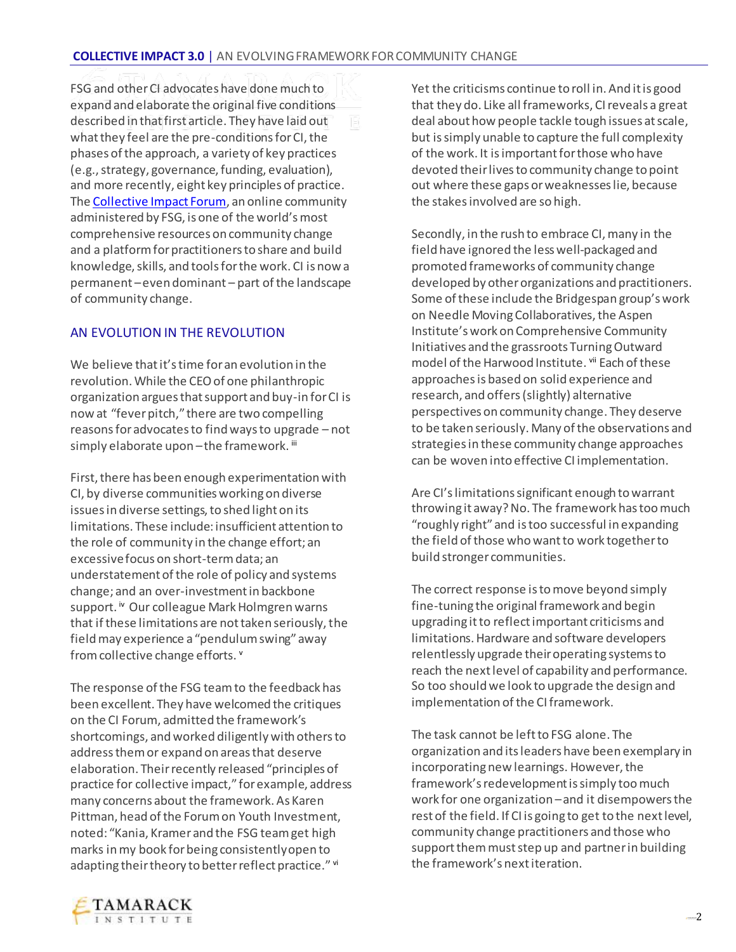FSG and other CI advocates have done much to expand and elaborate the original five conditions described in that first article. They have laid out what they feel are the pre-conditions for CI, the phases of the approach, a variety of key practices (e.g., strategy, governance, funding, evaluation), and more recently, eight key principles of practice. Th[e Collective Impact Forum,](https://collectiveimpactforum.org/) an online community administered by FSG, is one of the world's most comprehensive resources on community change and a platform for practitioners to share and build knowledge, skills, and tools for the work. CI is now a permanent –even dominant – part of the landscape of community change.

#### AN EVOLUTION IN THE REVOLUTION

We believe that it's time for an evolution in the revolution. While the CEO of one philanthropic organization argues that support and buy-in for CI is now at "fever pitch," there are two compelling reasons for advocates to find ways to upgrade – not simply elaborate upon-the framework. iii

First, there has been enough experimentation with CI, by diverse communities working on diverse issues in diverse settings, to shed light on its limitations. These include: insufficient attention to the role of community in the change effort; an excessive focus on short-term data; an understatement of the role of policy and systems change; and an over-investment in backbone support. iv Our colleague Mark Holmgren warns that if these limitations are not taken seriously, the field may experience a "pendulum swing" away from collective change efforts. <sup>v</sup>

The response of the FSG team to the feedback has been excellent. They have welcomed the critiques on the CI Forum, admitted the framework's shortcomings, and worked diligently with others to address them or expand on areas that deserve elaboration. Their recently released "principles of practice for collective impact," for example, address many concerns about the framework. As Karen Pittman, head of the Forum on Youth Investment, noted: "Kania, Kramer and the FSG team get high marks in my book for being consistently open to adapting their theory to better reflect practice." vi

Yet the criticisms continue to roll in. And it is good that they do. Like all frameworks, CI reveals a great deal about how people tackle tough issues at scale, but is simply unable to capture the full complexity of the work. It is important for those who have devoted their lives to community change to point out where these gaps or weaknesses lie, because the stakes involved are so high.

Secondly, in the rush to embrace CI, many in the field have ignored the less well-packaged and promoted frameworks of community change developed by other organizations and practitioners. Some of these include the Bridgespan group's work on Needle Moving Collaboratives, the Aspen Institute's work on Comprehensive Community Initiatives and the grassroots Turning Outward model of the Harwood Institute. vii Each of these approaches is based on solid experience and research, and offers (slightly) alternative perspectives on community change. They deserve to be taken seriously. Many of the observations and strategies in these community change approaches can be woven into effective CI implementation.

Are CI's limitations significant enough to warrant throwing it away? No. The framework has too much "roughly right" and is too successful in expanding the field of those who want to work together to build stronger communities.

The correct response is to move beyond simply fine-tuning the original framework and begin upgrading it to reflect important criticisms and limitations. Hardware and software developers relentlessly upgrade their operating systems to reach the next level of capability and performance. So too should we look to upgrade the design and implementation of the CI framework.

The task cannot be left to FSG alone. The organization and its leaders have been exemplary in incorporating new learnings. However, the framework's redevelopment is simply too much work for one organization –and it disempowers the rest of the field. If CI is going to get to the next level, community change practitioners and those who support them must step up and partner in building the framework's next iteration.

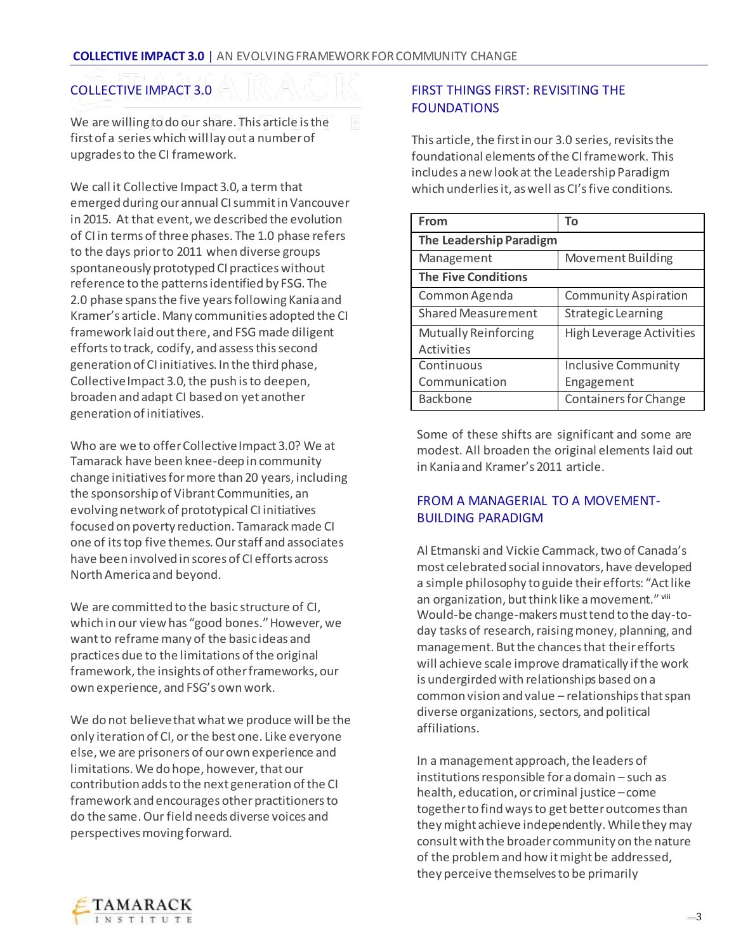#### COLLECTIVE IMPACT 3.0

We are willing to do our share. This article is the first of a series which will lay out a number of upgrades to the CI framework.

We call it Collective Impact 3.0, a term that emerged during our annual CI summit in Vancouver in 2015. At that event, we described the evolution of CI in terms of three phases. The 1.0 phase refers to the days prior to 2011 when diverse groups spontaneously prototyped CI practices without reference to the patterns identified by FSG. The 2.0 phase spans the five years following Kania and Kramer's article. Many communities adopted the CI framework laid out there, and FSG made diligent efforts to track, codify, and assess this second generation of CI initiatives. In the third phase, Collective Impact 3.0, the push is to deepen, broaden and adapt CI based on yet another generation of initiatives.

Who are we to offer Collective Impact 3.0? We at Tamarack have been knee-deep in community change initiatives for more than 20 years, including the sponsorship of Vibrant Communities, an evolving network of prototypical CI initiatives focused on poverty reduction. Tamarack made CI one of its top five themes. Our staff and associates have been involved in scores of CI efforts across North America and beyond.

We are committed to the basic structure of CI, which in our view has "good bones." However, we want to reframe many of the basic ideas and practices due to the limitations of the original framework, the insights of other frameworks, our own experience, and FSG's own work.

We do not believe that what we produce will be the only iteration of CI, or the best one. Like everyone else, we are prisoners of our own experience and limitations. We do hope, however, that our contribution adds to the next generation of the CI framework and encourages other practitioners to do the same. Our field needs diverse voices and perspectives moving forward.

#### FIRST THINGS FIRST: REVISITING THE FOUNDATIONS

This article, the first in our 3.0 series, revisits the foundational elements of the CI framework. This includes a new look at the Leadership Paradigm which underlies it, as well as CI's five conditions.

| From                       | To                              |
|----------------------------|---------------------------------|
| The Leadership Paradigm    |                                 |
| Management                 | Movement Building               |
| <b>The Five Conditions</b> |                                 |
| Common Agenda              | <b>Community Aspiration</b>     |
| Shared Measurement         | Strategic Learning              |
| Mutually Reinforcing       | <b>High Leverage Activities</b> |
| Activities                 |                                 |
| Continuous                 | <b>Inclusive Community</b>      |
| Communication              | Engagement                      |
| <b>Backbone</b>            | <b>Containers for Change</b>    |

Some of these shifts are significant and some are modest. All broaden the original elements laid out in Kania and Kramer's 2011 article.

#### FROM A MANAGERIAL TO A MOVEMENT-BUILDING PARADIGM

Al Etmanski and Vickie Cammack, two of Canada's most celebrated social innovators, have developed a simple philosophy to guide their efforts: "Act like an organization, but think like a movement." viii Would-be change-makers must tend to the day-today tasks of research, raising money, planning, and management. But the chances that their efforts will achieve scale improve dramatically if the work is undergirded with relationships based on a common vision and value – relationships that span diverse organizations, sectors, and political affiliations.

In a management approach, the leaders of institutions responsible for a domain – such as health, education, or criminal justice –come together to find ways to get better outcomes than they might achieve independently. While they may consult with the broader community on the nature of the problem and how it might be addressed, they perceive themselves to be primarily

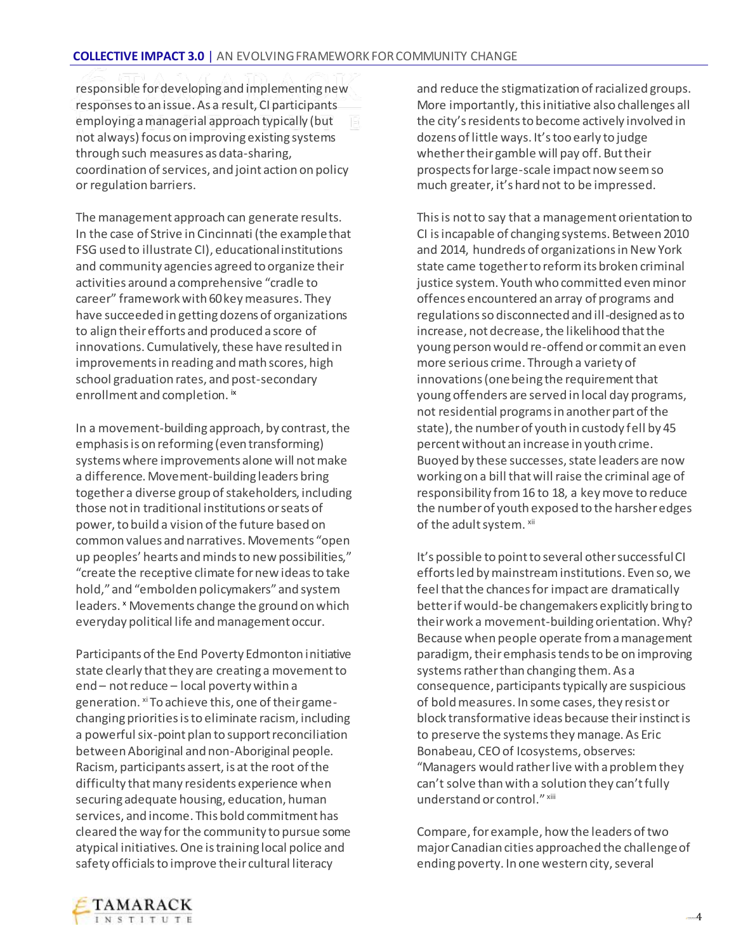responsible for developing and implementing new responses to an issue. As a result, CI participants employing a managerial approach typically (but not always) focus on improving existing systems through such measures as data-sharing, coordination of services, and joint action on policy or regulation barriers.

The management approach can generate results. In the case of Strive in Cincinnati (the example that FSG used to illustrate CI), educational institutions and community agencies agreed to organize their activities around a comprehensive "cradle to career" framework with 60 key measures. They have succeeded in getting dozens of organizations to align their efforts and produced a score of innovations. Cumulatively, these have resulted in improvements in reading and math scores, high school graduation rates, and post-secondary enrollment and completion. ix

In a movement-building approach, by contrast, the emphasis is on reforming (even transforming) systems where improvements alone will not make a difference. Movement-building leaders bring together a diverse group of stakeholders, including those not in traditional institutions or seats of power, to build a vision of the future based on common values and narratives. Movements "open up peoples' hearts and minds to new possibilities," "create the receptive climate for new ideas to take hold," and "embolden policymakers" and system leaders. <sup>x</sup> Movements change the ground on which everyday political life and management occur.

Participants of the End Poverty Edmonton initiative state clearly that they are creating a movement to end – not reduce – local poverty within a generation. xi To achieve this, one of their gamechanging priorities is to eliminate racism, including a powerful six-point plan to support reconciliation between Aboriginal and non-Aboriginal people. Racism, participants assert, is at the root of the difficulty that many residents experience when securing adequate housing, education, human services, and income. This bold commitment has cleared the way for the community to pursue some atypical initiatives. One is training local police and safety officials to improve their cultural literacy

and reduce the stigmatization of racialized groups. More importantly, this initiative also challenges all the city's residents to become actively involved in dozens of little ways. It's too early to judge whether their gamble will pay off. But their prospects for large-scale impact now seem so much greater, it's hard not to be impressed.

This is not to say that a management orientation to CI is incapable of changing systems. Between 2010 and 2014, hundreds of organizations in New York state came together to reform its broken criminal justice system. Youth who committed even minor offences encountered an array of programs and regulations so disconnected and ill-designed as to increase, not decrease, the likelihood that the young person would re-offend or commit an even more serious crime. Through a variety of innovations (one being the requirement that young offenders are served in local day programs, not residential programs in another part of the state), the number of youth in custody fell by 45 percent without an increase in youth crime. Buoyed by these successes, state leaders are now working on a bill that will raise the criminal age of responsibility from 16 to 18, a key move to reduce the number of youth exposed to the harsher edges of the adult system. xii

It's possible to point to several other successful CI efforts led by mainstream institutions. Even so, we feel that the chances for impact are dramatically better if would-be changemakers explicitly bring to their work a movement-building orientation. Why? Because when people operate from a management paradigm, their emphasis tends to be on improving systems rather than changing them. As a consequence, participants typically are suspicious of bold measures. In some cases, they resist or block transformative ideas because their instinct is to preserve the systems they manage. As Eric Bonabeau, CEO of Icosystems, observes: "Managers would rather live with a problem they can't solve than with a solution they can't fully understand or control." xiii

Compare, for example, how the leaders of two major Canadian cities approached the challenge of ending poverty. In one western city, several

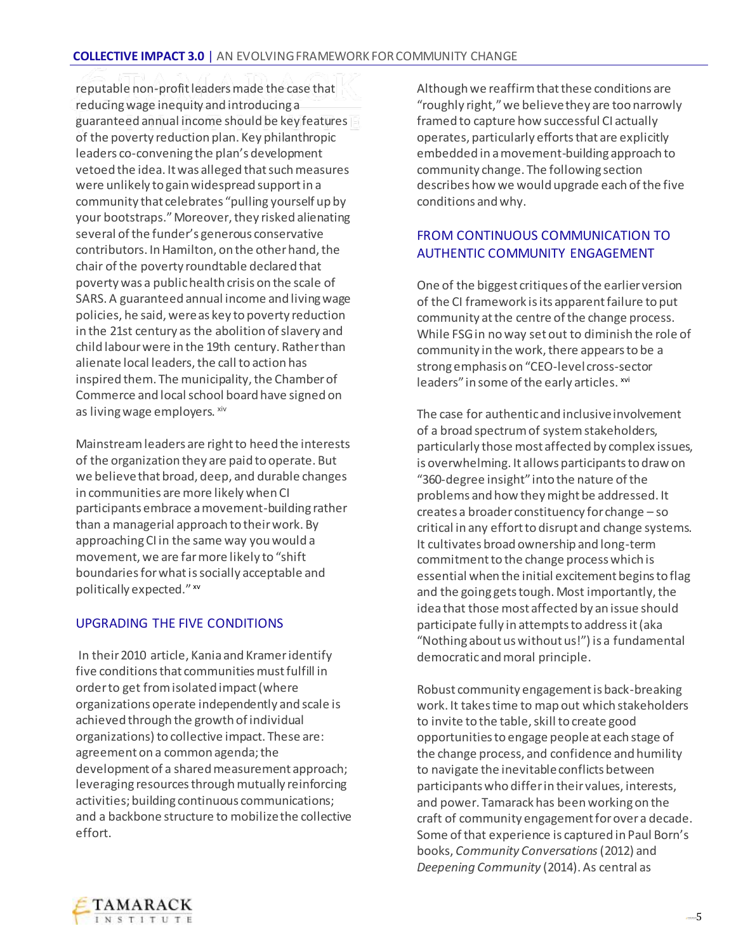reputable non-profit leaders made the case that reducing wage inequity and introducing a guaranteed annual income should be key features of the poverty reduction plan. Key philanthropic leaders co-convening the plan's development vetoed the idea. It was alleged that such measures were unlikely to gain widespread support in a community that celebrates "pulling yourself up by your bootstraps." Moreover, they risked alienating several of the funder's generous conservative contributors. In Hamilton, on the other hand, the chair of the poverty roundtable declared that poverty was a public health crisis on the scale of SARS. A guaranteed annual income and living wage policies, he said, were as key to poverty reduction in the 21st century as the abolition of slavery and child labour were in the 19th century. Rather than alienate local leaders, the call to action has inspired them. The municipality, the Chamber of Commerce and local school board have signed on as living wage employers. xiv

Mainstream leaders are right to heed the interests of the organization they are paid to operate. But we believe that broad, deep, and durable changes in communities are more likely when CI participants embrace a movement-building rather than a managerial approach to their work. By approaching CI in the same way you would a movement, we are far more likely to "shift boundaries for what is socially acceptable and politically expected." xv

## UPGRADING THE FIVE CONDITIONS

In their 2010 article, Kania and Kramer identify five conditions that communities must fulfill in order to get from isolated impact (where organizations operate independently and scale is achieved through the growth of individual organizations) to collective impact. These are: agreement on a common agenda; the development of a shared measurement approach; leveraging resources through mutually reinforcing activities; building continuous communications; and a backbone structure to mobilize the collective effort.

Although we reaffirm that these conditions are "roughly right," we believe they are too narrowly framed to capture how successful CI actually operates, particularly efforts that are explicitly embedded in a movement-building approach to community change. The following section describes how we would upgrade each of the five conditions and why.

### FROM CONTINUOUS COMMUNICATION TO AUTHENTIC COMMUNITY ENGAGEMENT

One of the biggest critiques of the earlier version of the CI framework is its apparent failure to put community at the centre of the change process. While FSG in no way set out to diminish the role of community in the work, there appears to be a strong emphasis on "CEO-level cross-sector leaders" in some of the early articles. xvi

The case for authentic and inclusive involvement of a broad spectrum of system stakeholders, particularly those most affected by complex issues, is overwhelming. It allows participants to draw on "360-degree insight" into the nature of the problems and how they might be addressed. It creates a broader constituency for change – so critical in any effort to disrupt and change systems. It cultivates broad ownership and long-term commitment to the change process which is essential when the initial excitement begins to flag and the going gets tough. Most importantly, the idea that those most affected by an issue should participate fully in attempts to address it (aka "Nothing about us without us!") is a fundamental democratic and moral principle.

Robust community engagement is back-breaking work. It takes time to map out which stakeholders to invite to the table, skill to create good opportunities to engage people at each stage of the change process, and confidence and humility to navigate the inevitable conflicts between participants who differ in their values, interests, and power. Tamarack has been working on the craft of community engagement for over a decade. Some of that experience is captured in Paul Born's books, *Community Conversations*(2012) and *Deepening Community* (2014). As central as

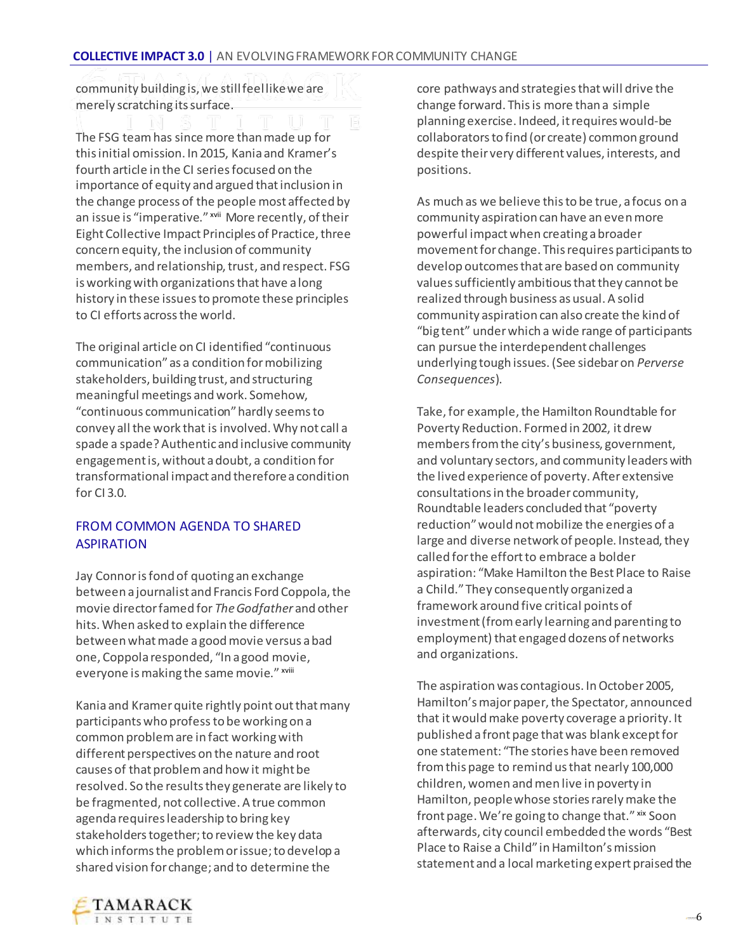community building is, we still feel like we are merely scratching its surface.

The FSG team has since more than made up for this initial omission. In 2015, Kania and Kramer's fourth article in the CI series focused on the importance of equity and argued that inclusion in the change process of the people most affected by an issue is "imperative." xvii More recently, of their Eight Collective Impact Principles of Practice, three concern equity, the inclusion of community members, and relationship, trust, and respect. FSG is working with organizations that have a long history in these issues to promote these principles to CI efforts across the world.

The original article on CI identified "continuous communication" as a condition for mobilizing stakeholders, building trust, and structuring meaningful meetings and work. Somehow, "continuous communication" hardly seems to convey all the work that is involved. Why not call a spade a spade? Authentic and inclusive community engagement is, without a doubt, a condition for transformational impact and therefore a condition for CI 3.0.

### FROM COMMON AGENDA TO SHARED **ASPIRATION**

Jay Connor is fond of quoting an exchange between a journalist and Francis Ford Coppola, the movie director famed for *The Godfather* and other hits. When asked to explain the difference between what made a good movie versus a bad one, Coppola responded, "In a good movie, everyone is making the same movie." xviii

Kania and Kramer quite rightly point out that many participants who profess to be working on a common problem are in fact working with different perspectives on the nature and root causes of that problem and how it might be resolved. So the results they generate are likely to be fragmented, not collective. A true common agenda requires leadership to bring key stakeholders together; to review the key data which informs the problem or issue; to develop a shared vision for change; and to determine the

core pathways and strategies that will drive the change forward. This is more than a simple planning exercise. Indeed, it requires would-be collaborators to find (or create) common ground despite their very different values, interests, and positions.

As much as we believe this to be true, a focus on a community aspiration can have an even more powerful impact when creating a broader movement for change. This requires participants to develop outcomes that are based on community values sufficiently ambitious that they cannot be realized through business as usual. A solid community aspiration can also create the kind of "big tent" under which a wide range of participants can pursue the interdependent challenges underlying tough issues. (See sidebar on *Perverse Consequences*).

Take, for example, the Hamilton Roundtable for Poverty Reduction. Formed in 2002, it drew members from the city's business, government, and voluntary sectors, and community leaders with the lived experience of poverty. After extensive consultations in the broader community, Roundtable leaders concluded that "poverty reduction" would not mobilize the energies of a large and diverse network of people. Instead, they called for the effort to embrace a bolder aspiration: "Make Hamilton the Best Place to Raise a Child." They consequently organized a framework around five critical points of investment (from early learning and parenting to employment) that engaged dozens of networks and organizations.

The aspiration was contagious. In October 2005, Hamilton's major paper, the Spectator, announced that it would make poverty coverage a priority. It published a front page that was blank except for one statement: "The stories have been removed from this page to remind us that nearly 100,000 children, women and men live in poverty in Hamilton, people whose stories rarely make the front page. We're going to change that." xix Soon afterwards, city council embedded the words "Best Place to Raise a Child" in Hamilton's mission statement and a local marketing expert praised the

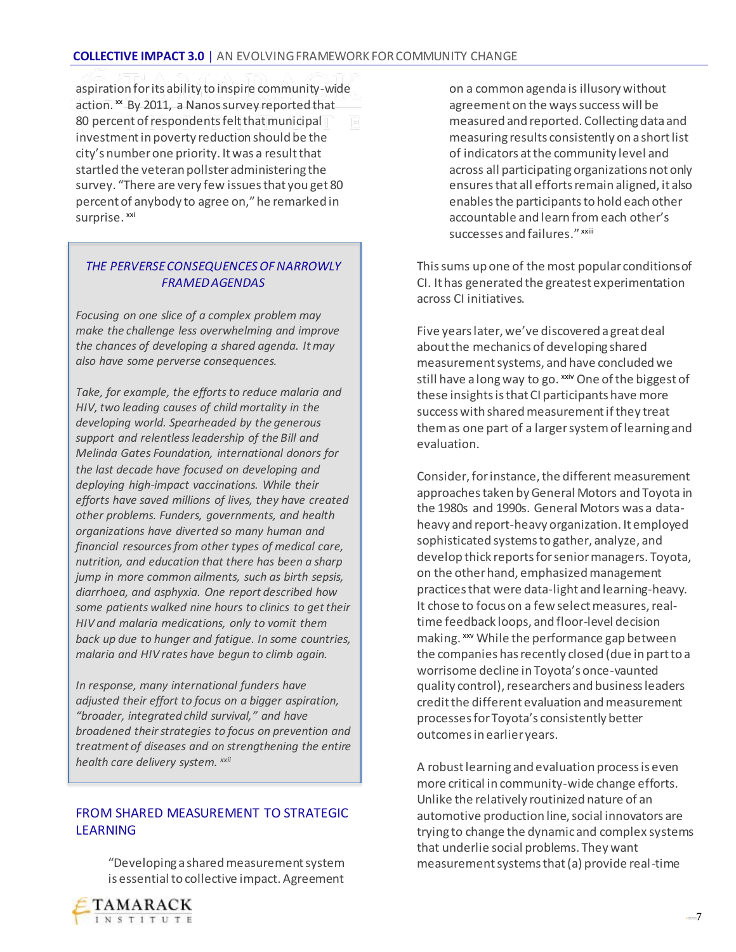aspiration for its ability to inspire community-wide action. xx By 2011, a Nanos survey reported that 80 percent of respondents felt that municipal investment in poverty reduction should be the city's number one priority. It was a result that startled the veteran pollster administering the survey. "There are very few issues that you get 80 percent of anybody to agree on," he remarked in surprise. xxi

#### *THE PERVERSE CONSEQUENCES OF NARROWLY FRAMED AGENDAS*

*Focusing on one slice of a complex problem may make the challenge less overwhelming and improve the chances of developing a shared agenda. It may also have some perverse consequences.*

*Take, for example, the efforts to reduce malaria and HIV, two leading causes of child mortality in the developing world. Spearheaded by the generous support and relentless leadership of the Bill and Melinda Gates Foundation, international donors for the last decade have focused on developing and deploying high-impact vaccinations. While their efforts have saved millions of lives, they have created other problems. Funders, governments, and health organizations have diverted so many human and financial resources from other types of medical care, nutrition, and education that there has been a sharp jump in more common ailments, such as birth sepsis, diarrhoea, and asphyxia. One report described how some patients walked nine hours to clinics to get their HIV and malaria medications, only to vomit them back up due to hunger and fatigue. In some countries, malaria and HIV rates have begun to climb again.* 

*In response, many international funders have adjusted their effort to focus on a bigger aspiration, "broader, integrated child survival," and have broadened their strategies to focus on prevention and treatment of diseases and on strengthening the entire health care delivery system. xxii*

#### FROM SHARED MEASUREMENT TO STRATEGIC LEARNING

"Developing a shared measurement system is essential to collective impact. Agreement on a common agenda is illusory without agreement on the ways success will be measured and reported. Collecting data and measuring results consistently on a short list of indicators at the community level and across all participating organizations not only ensures that all efforts remain aligned, it also enables the participants to hold each other accountable and learn from each other's successes and failures." xxiii

This sums up one of the most popular conditions of CI. It has generated the greatest experimentation across CI initiatives.

Five years later, we've discovered a great deal about the mechanics of developing shared measurement systems, and have concluded we still have a long way to go. <sup>xxiv</sup> One of the biggest of these insights is that CI participants have more success with shared measurement if they treat them as one part of a larger system of learning and evaluation.

Consider, for instance, the different measurement approaches taken by General Motors and Toyota in the 1980s and 1990s. General Motors was a dataheavy and report-heavy organization. It employed sophisticated systems to gather, analyze, and develop thick reports for senior managers. Toyota, on the other hand, emphasized management practices that were data-light and learning-heavy. It chose to focus on a few select measures, realtime feedback loops, and floor-level decision making. xxv While the performance gap between the companies has recently closed (due in part to a worrisome decline in Toyota's once-vaunted quality control), researchers and business leaders credit the different evaluation and measurement processes for Toyota's consistently better outcomesin earlier years.

A robust learning and evaluation process is even more critical in community-wide change efforts. Unlike the relatively routinized nature of an automotive production line, social innovators are trying to change the dynamic and complex systems that underlie social problems. They want measurement systems that (a) provide real-time

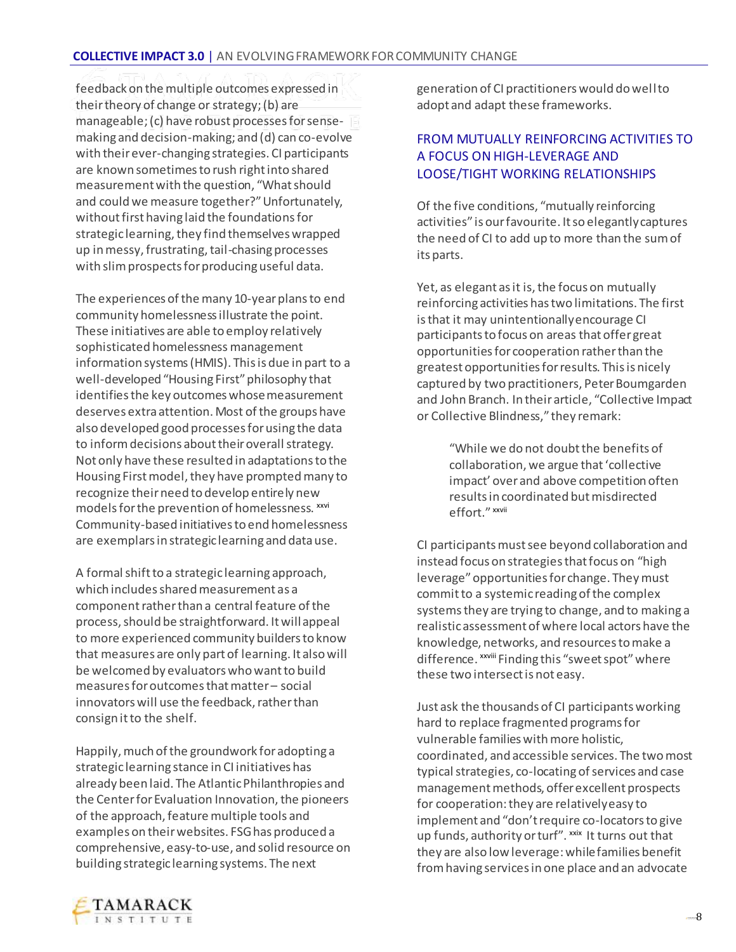feedback on the multiple outcomes expressed in their theory of change or strategy; (b) are manageable; (c) have robust processes for sensemaking and decision-making; and (d) can co-evolve with their ever-changing strategies. CI participants are known sometimes to rush right into shared measurement with the question, "What should and could we measure together?" Unfortunately, without first having laid the foundations for strategic learning, they find themselves wrapped up in messy, frustrating, tail-chasing processes with slim prospects for producing useful data.

The experiences of the many 10-year plans to end community homelessness illustrate the point. These initiatives are able to employ relatively sophisticated homelessness management information systems (HMIS). This is due in part to a well-developed "Housing First" philosophy that identifies the key outcomes whose measurement deserves extra attention. Most of the groups have also developed good processes for using the data to inform decisions about their overall strategy. Not only have these resulted in adaptations to the Housing First model, they have prompted many to recognize their need to develop entirely new models for the prevention of homelessness. xxvi Community-based initiatives to end homelessness are exemplars in strategic learning and data use.

A formal shift to a strategic learning approach, which includes shared measurement as a component rather than a central feature of the process, should be straightforward. It will appeal to more experienced community builders to know that measures are only part of learning. It also will be welcomed by evaluators who want to build measures for outcomes that matter – social innovators will use the feedback, rather than consign it to the shelf.

Happily, much of the groundwork for adopting a strategic learning stance in CI initiatives has already been laid. The Atlantic Philanthropies and the Center for Evaluation Innovation, the pioneers of the approach, feature multiple tools and examples on their websites. FSG has produced a comprehensive, easy-to-use, and solid resource on building strategic learning systems. The next

generation of CI practitioners would do well to adopt and adapt these frameworks.

#### FROM MUTUALLY REINFORCING ACTIVITIES TO A FOCUS ON HIGH-LEVERAGE AND LOOSE/TIGHT WORKING RELATIONSHIPS

Of the five conditions, "mutually reinforcing activities" is our favourite. It so elegantly captures the need of CI to add up to more than the sum of its parts.

Yet, as elegant as it is, the focus on mutually reinforcing activities has two limitations. The first is that it may unintentionally encourage CI participants to focus on areas that offer great opportunities for cooperation rather than the greatest opportunities for results. This is nicely captured by two practitioners, Peter Boumgarden and John Branch. In their article, "Collective Impact or Collective Blindness," they remark:

> "While we do not doubt the benefits of collaboration, we argue that 'collective impact' over and above competition often results in coordinated but misdirected effort." xxvii

CI participants must see beyond collaboration and instead focus on strategies that focus on "high leverage" opportunities for change. They must commit to a systemic reading of the complex systems they are trying to change, and to making a realistic assessment of where local actors have the knowledge, networks, and resources to make a difference. xxviii Finding this "sweet spot" where these two intersect is not easy.

Just ask the thousands of CI participants working hard to replace fragmented programs for vulnerable families with more holistic, coordinated, and accessible services. The two most typical strategies, co-locating of services and case management methods, offer excellent prospects for cooperation: they are relatively easy to implement and "don't require co-locators to give up funds, authority or turf". <sup>xxix</sup> It turns out that they are also low leverage: while families benefit from having services in one place and an advocate

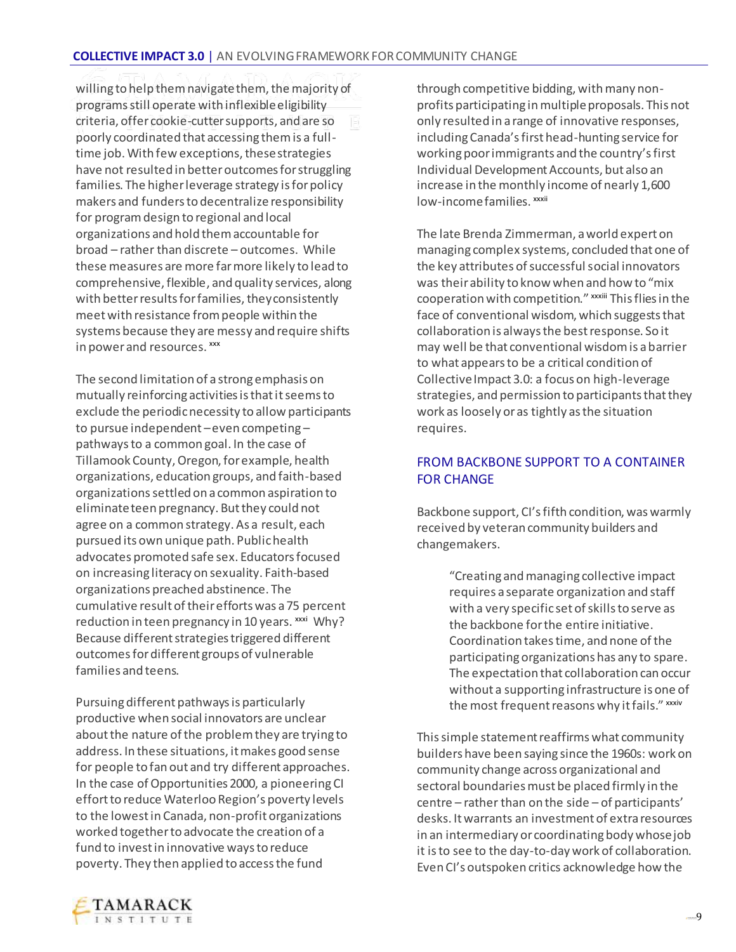willing to help them navigate them, the majority of programs still operate with inflexible eligibility criteria, offer cookie-cutter supports, and are so poorly coordinated that accessing them is a fulltime job. With few exceptions, these strategies have not resulted in better outcomes for struggling families. The higher leverage strategy is for policy makers and funders to decentralize responsibility for program design to regional and local organizations and hold them accountable for broad – rather than discrete – outcomes. While these measures are more far more likely to lead to comprehensive, flexible, and quality services, along with better results for families, they consistently meet with resistance from people within the systems because they are messy and require shifts in power and resources. xxx

The second limitation of a strong emphasis on mutually reinforcing activities is that it seems to exclude the periodic necessity to allow participants to pursue independent –even competing – pathways to a common goal. In the case of Tillamook County, Oregon, for example, health organizations, education groups, and faith-based organizations settled on a common aspiration to eliminate teen pregnancy. But they could not agree on a common strategy. As a result, each pursued its own unique path. Public health advocates promoted safe sex. Educators focused on increasing literacy on sexuality. Faith-based organizations preached abstinence. The cumulative result of their efforts was a 75 percent reduction in teen pregnancy in 10 years. xxxi Why? Because different strategies triggered different outcomes for different groups of vulnerable families and teens.

Pursuing different pathways is particularly productive when social innovators are unclear about the nature of the problem they are trying to address. In these situations, it makes good sense for people to fan out and try different approaches. In the case of Opportunities 2000, a pioneering CI effort to reduce Waterloo Region's poverty levels to the lowest in Canada, non-profit organizations worked together to advocate the creation of a fund to invest in innovative ways to reduce poverty. They then applied to access the fund

through competitive bidding, with many nonprofits participating in multiple proposals. This not only resulted in a range of innovative responses, including Canada's first head-hunting service for working poor immigrants and the country's first Individual Development Accounts, but also an increase in the monthly income of nearly 1,600 low-income families. xxxii

The late Brenda Zimmerman, a world expert on managing complex systems, concluded that one of the key attributes of successful social innovators was their ability to know when and how to "mix cooperation with competition." xxxiii This flies in the face of conventional wisdom, which suggests that collaboration is always the best response. So it may well be that conventional wisdom is a barrier to what appears to be a critical condition of Collective Impact 3.0: a focus on high-leverage strategies, and permission to participants that they work as loosely or as tightly as the situation requires.

#### FROM BACKBONE SUPPORT TO A CONTAINER FOR CHANGE

Backbone support, CI's fifth condition, was warmly received by veteran community builders and changemakers.

> "Creating and managing collective impact requires a separate organization and staff with a very specific set of skills to serve as the backbone for the entire initiative. Coordination takes time, and none of the participating organizations has any to spare. The expectation that collaboration can occur without a supporting infrastructure is one of the most frequent reasons why it fails." xxxiv

This simple statement reaffirms what community builders have been saying since the 1960s: work on community change across organizational and sectoral boundaries must be placed firmly in the centre – rather than on the side – of participants' desks. It warrants an investment of extra resources in an intermediary or coordinating body whose job it is to see to the day-to-day work of collaboration. Even CI's outspoken critics acknowledge how the

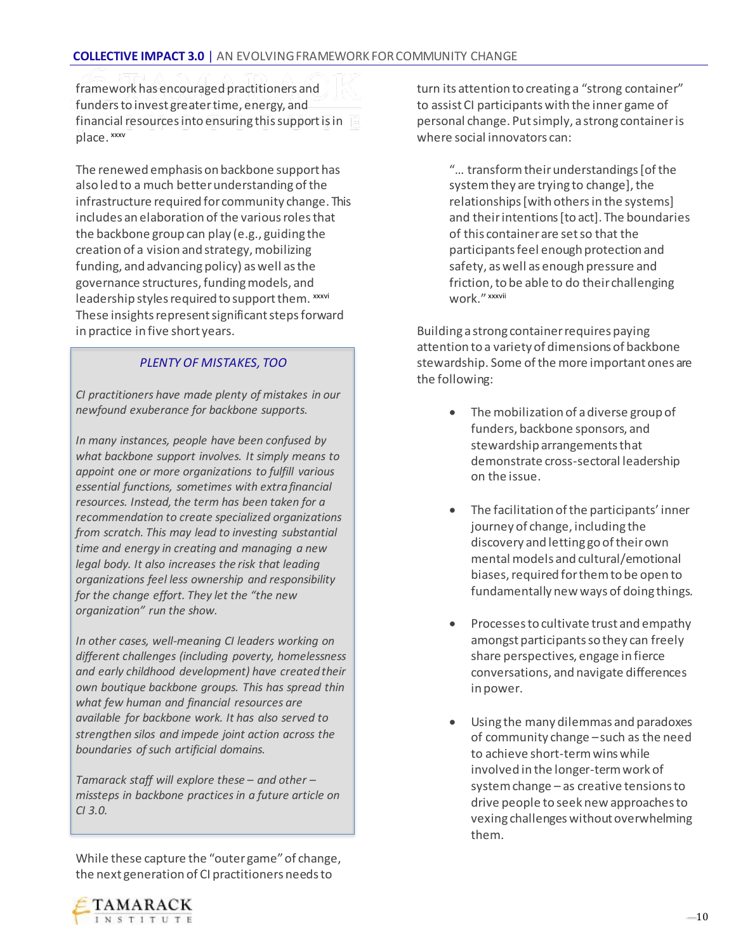framework has encouraged practitioners and funders to invest greater time, energy, and financial resources into ensuring this support is in place. xxxv

The renewed emphasis on backbone support has also led to a much better understanding of the infrastructure required for community change. This includes an elaboration of the various roles that the backbone group can play (e.g., guiding the creation of a vision and strategy, mobilizing funding, and advancing policy) as well as the governance structures, funding models, and leadership styles required to support them. xxxvi These insights represent significant steps forward in practice in five short years.

#### *PLENTY OF MISTAKES, TOO*

*CI practitioners have made plenty of mistakes in our newfound exuberance for backbone supports.* 

*In many instances, people have been confused by what backbone support involves. It simply means to appoint one or more organizations to fulfill various essential functions, sometimes with extra financial resources. Instead, the term has been taken for a recommendation to create specialized organizations from scratch. This may lead to investing substantial time and energy in creating and managing a new legal body. It also increases the risk that leading organizations feel less ownership and responsibility for the change effort. They let the "the new organization" run the show.* 

*In other cases, well-meaning CI leaders working on different challenges (including poverty, homelessness and early childhood development) have created their own boutique backbone groups. This has spread thin what few human and financial resources are available for backbone work. It has also served to strengthen silos and impede joint action across the boundaries of such artificial domains.*

*Tamarack staff will explore these – and other – missteps in backbone practices in a future article on CI 3.0.*

While these capture the "outer game" of change, the next generation of CI practitioners needs to

turn its attention to creating a "strong container" to assist CI participants with the inner game of personal change. Put simply, a strong container is where social innovators can:

> "… transform their understandings [of the system they are trying to change], the relationships [with others in the systems] and their intentions [to act]. The boundaries of this container are set so that the participants feel enough protection and safety, as well as enough pressure and friction, to be able to do their challenging work." xxxvii

Building a strong container requires paying attention to a variety of dimensions of backbone stewardship. Some of the more important ones are the following:

- The mobilization of a diverse group of funders, backbone sponsors, and stewardship arrangements that demonstrate cross-sectoral leadership on the issue.
- The facilitation of the participants' inner journey of change, including the discovery and letting go of their own mental models and cultural/emotional biases, required for them to be open to fundamentally new ways of doing things.
- Processes to cultivate trust and empathy amongst participants so they can freely share perspectives, engage in fierce conversations, and navigate differences in power.
- Using the many dilemmas and paradoxes of community change –such as the need to achieve short-term wins while involved in the longer-term work of system change – as creative tensions to drive people to seek new approaches to vexing challenges without overwhelming them.

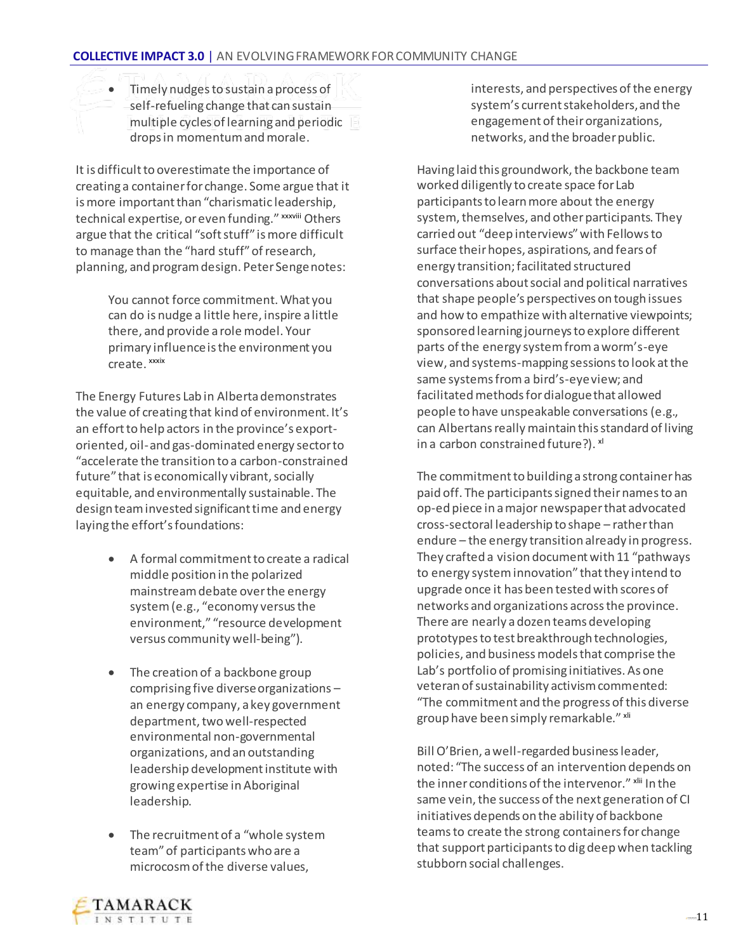Timely nudges to sustain a process of self-refueling change that can sustain multiple cycles of learning and periodic drops in momentum and morale.

It is difficult to overestimate the importance of creating a container for change. Some argue that it is more important than "charismatic leadership, technical expertise, or even funding." xxxviii Others argue that the critical "soft stuff" is more difficult to manage than the "hard stuff" of research, planning, and program design. Peter Senge notes:

> You cannot force commitment. What you can do is nudge a little here, inspire a little there, and provide a role model. Your primary influence is the environment you create. xxxix

The Energy Futures Lab in Alberta demonstrates the value of creating that kind of environment. It's an effort to help actors in the province's exportoriented, oil-and gas-dominated energy sector to "accelerate the transition to a carbon-constrained future" that is economically vibrant, socially equitable, and environmentally sustainable. The design team invested significant time and energy laying the effort's foundations:

- A formal commitment to create a radical middle position in the polarized mainstream debate over the energy system (e.g., "economy versus the environment," "resource development versus community well-being").
- The creation of a backbone group comprising five diverse organizations – an energy company, a key government department, two well-respected environmental non-governmental organizations, and an outstanding leadership development institute with growing expertise in Aboriginal leadership.
- The recruitment of a "whole system team" of participants who are a microcosm of the diverse values,

interests, and perspectives of the energy system's current stakeholders, and the engagement of their organizations, networks, and the broader public.

Having laid this groundwork, the backbone team worked diligently to create space for Lab participants to learn more about the energy system, themselves, and other participants. They carried out "deep interviews" with Fellows to surface their hopes, aspirations, and fears of energy transition; facilitated structured conversations about social and political narratives that shape people's perspectives on tough issues and how to empathize with alternative viewpoints; sponsored learning journeys to explore different parts of the energy system from a worm's-eye view, and systems-mapping sessions to look at the same systems from a bird's-eye view; and facilitated methods for dialogue that allowed people to have unspeakable conversations(e.g., can Albertans really maintain this standard of living in a carbon constrained future?). x<sup>1</sup>

The commitment to building a strong container has paid off. The participants signed their names to an op-ed piece in a major newspaper that advocated cross-sectoral leadership to shape – rather than endure – the energy transition already in progress. They crafted a vision document with 11 "pathways to energy system innovation" that they intend to upgrade once it has been tested with scores of networks and organizations across the province. There are nearly a dozen teams developing prototypes to test breakthrough technologies, policies, and business models that comprise the Lab's portfolio of promising initiatives. As one veteran of sustainability activism commented: "The commitment and the progress of this diverse group have been simply remarkable." xli

Bill O'Brien, a well-regarded business leader, noted: "The success of an intervention depends on the inner conditions of the intervenor." xlij In the same vein, the success of the next generation of CI initiatives depends on the ability of backbone teams to create the strong containers for change that support participants to dig deep when tackling stubborn social challenges.

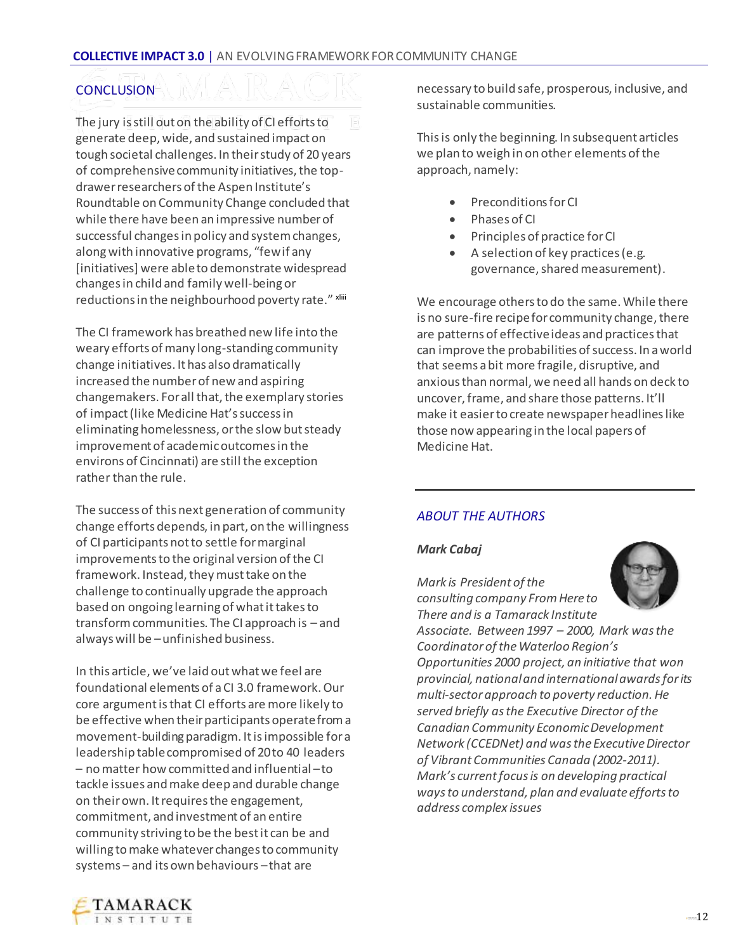#### **CONCLUSION**

The jury is still out on the ability of CI efforts to generate deep, wide, and sustained impact on tough societal challenges. In their study of 20 years of comprehensive community initiatives, the topdrawer researchers of the Aspen Institute's Roundtable on Community Change concluded that while there have been an impressive number of successful changes in policy and system changes, along with innovative programs, "few if any [initiatives] were able to demonstrate widespread changes in child and family well-being or reductions in the neighbourhood poverty rate." xliii

The CI framework has breathed new life into the weary efforts of many long-standing community change initiatives. It has also dramatically increased the number of new and aspiring changemakers. For all that, the exemplary stories of impact (like Medicine Hat's success in eliminating homelessness, or the slow but steady improvement of academic outcomes in the environs of Cincinnati) are still the exception rather than the rule.

The success of this next generation of community change efforts depends, in part, on the willingness of CI participants not to settle for marginal improvements to the original version of the CI framework. Instead, they must take on the challenge to continually upgrade the approach based on ongoing learning of what it takes to transform communities. The CI approach is – and always will be –unfinished business.

In this article, we've laid out what we feel are foundational elements of a CI 3.0 framework. Our core argument is that CI efforts are more likely to be effective when their participants operate from a movement-building paradigm. It is impossible for a leadership table compromised of 20 to 40 leaders – no matter how committed and influential –to tackle issues and make deep and durable change on their own. It requires the engagement, commitment, and investment of an entire community striving to be the best it can be and willing to make whatever changes to community systems – and its own behaviours –that are

necessary to build safe, prosperous, inclusive, and sustainable communities.

This is only the beginning. In subsequent articles we plan to weigh in on other elements of the approach, namely:

- Preconditions for CI
- Phases of CI
- Principles of practice for CI
- A selection of key practices (e.g. governance, shared measurement).

We encourage others to do the same. While there is no sure-fire recipe for community change, there are patterns of effective ideas and practices that can improve the probabilities of success. In a world that seems a bit more fragile, disruptive, and anxious than normal, we need all hands on deck to uncover, frame, and share those patterns. It'll make it easier to create newspaper headlines like those now appearing in the local papers of Medicine Hat.

#### *ABOUT THE AUTHORS*

#### *Mark Cabaj*

*Mark is President of the consulting company From Here to There and is a Tamarack Institute* 



*Associate. Between 1997 – 2000, Mark was the Coordinator of the Waterloo Region's Opportunities 2000 project, an initiative that won provincial, national and international awards for its multi-sector approach to poverty reduction. He served briefly as the Executive Director of the Canadian Community Economic Development Network (CCEDNet) and was the Executive Director of Vibrant Communities Canada (2002-2011). Mark's current focus is on developing practical ways to understand, plan and evaluate efforts to address complex issues*

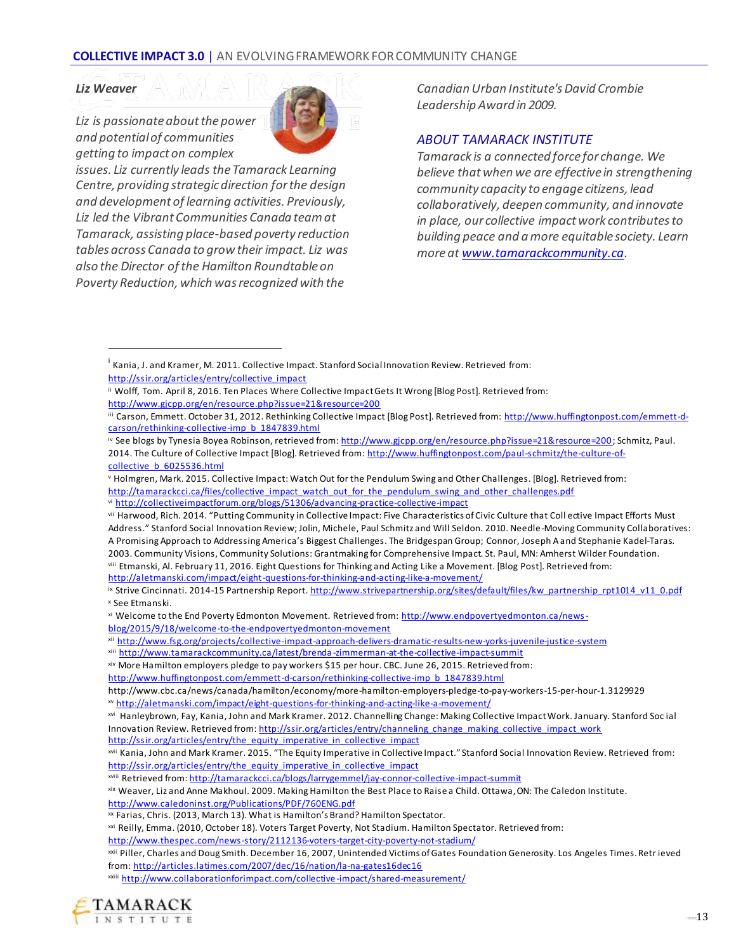#### *Liz Weaver*

 $\overline{a}$ 

*Liz is passionate about the power and potential of communities getting to impact on complex*



*Canadian Urban Institute's David Crombie Leadership Award in 2009.*

#### *ABOUT TAMARACK INSTITUTE*

*Tamarack is a connected force for change. We believe that when we are effective in strengthening community capacity to engage citizens, lead collaboratively, deepen community, and innovate in place, our collective impact work contributes to building peace and a more equitable society. Learn more a[t www.tamarackcommunity.ca](http://www.tamarackcommunity.ca/).*

<http://aletmanski.com/impact/eight-questions-for-thinking-and-acting-like-a-movement/>

xviii Retrieved from[: http://tamarackcci.ca/blogs/larrygemmel/jay-connor-collective-impact-summit](http://tamarackcci.ca/blogs/larrygemmel/jay-connor-collective-impact-summit)

xix Weaver, Liz and Anne Makhoul. 2009. Making Hamilton the Best Place to Raise a Child. Ottawa, ON: The Caledon Institute. <http://www.caledoninst.org/Publications/PDF/760ENG.pdf>

xxiii <http://www.collaborationforimpact.com/collective-impact/shared-measurement/>



<sup>&</sup>lt;sup>i</sup> Kania, J. and Kramer, M. 2011. Collective Impact. Stanford Social Innovation Review. Retrieved from: [http://ssir.org/articles/entry/collective\\_impact](http://ssir.org/articles/entry/collective_impact)

ii Wolff, Tom. April 8, 2016. Ten Places Where Collective Impact Gets It Wrong [Blog Post]. Retrieved from:

<http://www.gjcpp.org/en/resource.php?issue=21&resource=200>

III Carson, Emmett. October 31, 2012. Rethinking Collective Impact [Blog Post]. Retrieved from[: http://www.huffingtonpost.com/emmett-d](http://www.huffingtonpost.com/emmett-d-carson/rethinking-collective-imp_b_1847839.html)[carson/rethinking-collective-imp\\_b\\_1847839.html](http://www.huffingtonpost.com/emmett-d-carson/rethinking-collective-imp_b_1847839.html)

iv See blogs by Tynesia Boyea Robinson, retrieved from: http://www.gicpp.org/en/resource.php?issue=21&resource=200; Schmitz, Paul. 2014. The Culture of Collective Impact [Blog]. Retrieved from[: http://www.huffingtonpost.com/paul-schmitz/the-culture-of](http://www.huffingtonpost.com/paul-schmitz/the-culture-of-collective_b_6025536.html)[collective\\_b\\_6025536.html](http://www.huffingtonpost.com/paul-schmitz/the-culture-of-collective_b_6025536.html)

<sup>v</sup> Holmgren, Mark. 2015. Collective Impact: Watch Out for the Pendulum Swing and Other Challenges. [Blog]. Retrieved from:

[http://tamarackcci.ca/files/collective\\_impact\\_watch\\_out\\_for\\_the\\_pendulum\\_swing\\_and\\_other\\_challenges.pdf](http://tamarackcci.ca/files/collective_impact_watch_out_for_the_pendulum_swing_and_other_challenges.pdf)

vi <http://collectiveimpactforum.org/blogs/51306/advancing-practice-collective-impact>

vii Harwood, Rich. 2014. "Putting Community in Collective Impact: Five Characteristics of Civic Culture that Coll ective Impact Efforts Must Address." Stanford Social Innovation Review; Jolin, Michele, Paul Schmitz and Will Seldon. 2010. Needle-Moving Community Collaboratives: A Promising Approach to Addressing America's Biggest Challenges. The Bridgespan Group; Connor, Joseph A and Stephanie Kadel-Taras. 2003. Community Visions, Community Solutions: Grantmaking for Comprehensive Impact. St. Paul, MN: Amherst Wilder Foundation. viii Etmanski, Al. February 11, 2016. Eight Questions for Thinking and Acting Like a Movement. [Blog Post]. Retrieved from:

ix Strive Cincinnati. 2014-15 Partnership Repor[t. http://www.strivepartnership.org/sites/default/files/kw\\_partnership\\_rpt1014\\_v11\\_0.pdf](http://www.strivepartnership.org/sites/default/files/kw_partnership_rpt1014_v11_0.pdf) <sup>x</sup> See Etmanski.

xi Welcome to the End Poverty Edmonton Movement. Retrieved from[: http://www.endpovertyedmonton.ca/news](http://www.endpovertyedmonton.ca/news-blog/2015/9/18/welcome-to-the-endpovertyedmonton-movement)[blog/2015/9/18/welcome-to-the-endpovertyedmonton-movement](http://www.endpovertyedmonton.ca/news-blog/2015/9/18/welcome-to-the-endpovertyedmonton-movement)

xii <http://www.fsg.org/projects/collective-impact-approach-delivers-dramatic-results-new-yorks-juvenile-justice-system>

xiii [http://www.tamarackcommunity.ca/latest/brenda](http://www.tamarackcommunity.ca/latest/brenda-zimmerman-at-the-collective-impact-summit) -zimmerman-at-the-collective-impact-summit

xiv More Hamilton employers pledge to pay workers \$15 per hour. CBC. June 26, 2015. Retrieved from:

[http://www.huffingtonpost.com/emmett-d-carson/rethinking-collective-imp\\_b\\_1847839.html](http://www.huffingtonpost.com/emmett-d-carson/rethinking-collective-imp_b_1847839.html)

<http://www.cbc.ca/news/canada/hamilton/economy/more-hamilton-employers-pledge-to-pay-workers-15-per-hour-1.3129929> xv <http://aletmanski.com/impact/eight-questions-for-thinking-and-acting-like-a-movement/>

xvi Hanleybrown, Fay, Kania, John and Mark Kramer. 2012. Channelling Change: Making Collective Impact Work. January. Stanford Soc ial Innovation Review. Retrieved from[: http://ssir.org/articles/entry/channeling\\_change\\_making\\_collective\\_impact\\_work](http://ssir.org/articles/entry/channeling_change_making_collective_impact_work)

[http://ssir.org/articles/entry/the\\_equity\\_imperative\\_in\\_collective\\_impact](http://ssir.org/articles/entry/the_equity_imperative_in_collective_impact)

xvii Kania, John and Mark Kramer. 2015. "The Equity Imperative in Collective Impact." Stanford Social Innovation Review. Retrieved from: [http://ssir.org/articles/entry/the\\_equity\\_imperative\\_in\\_collective\\_impact](http://ssir.org/articles/entry/the_equity_imperative_in_collective_impact)

xx Farias, Chris. (2013, March 13). What is Hamilton's Brand? Hamilton Spectator.

xxi Reilly, Emma. (2010, October 18). Voters Target Poverty, Not Stadium. Hamilton Spectator. Retrieved from:

<http://www.thespec.com/news-story/2112136-voters-target-city-poverty-not-stadium/>

xxii Piller, Charles and Doug Smith. December 16, 2007, Unintended Victims of Gates Foundation Generosity. Los Angeles Times. Retr ieved from:<http://articles.latimes.com/2007/dec/16/nation/la-na-gates16dec16>